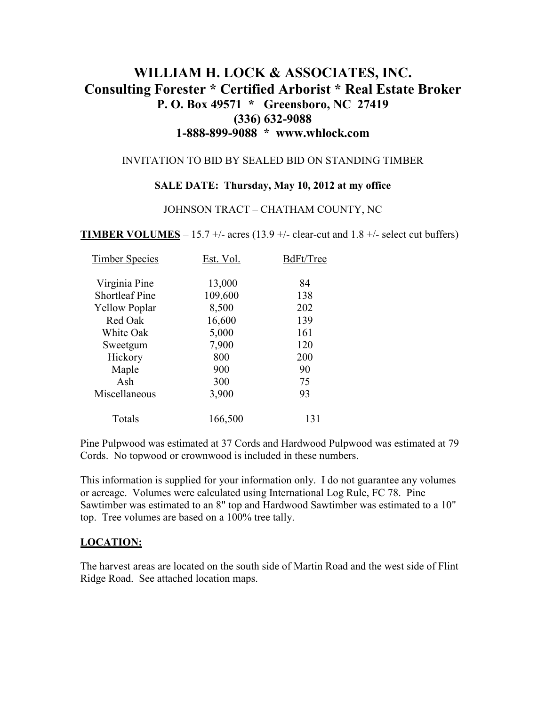# **WILLIAM H. LOCK & ASSOCIATES, INC. Consulting Forester \* Certified Arborist \* Real Estate Broker P. O. Box 49571 \* Greensboro, NC 27419 (336) 632-9088 1-888-899-9088 \* www.whlock.com**

### INVITATION TO BID BY SEALED BID ON STANDING TIMBER

### **SALE DATE: Thursday, May 10, 2012 at my office**

#### JOHNSON TRACT – CHATHAM COUNTY, NC

**TIMBER VOLUMES** – 15.7 +/- acres (13.9 +/- clear-cut and 1.8 +/- select cut buffers)

| <b>Timber Species</b> | Est. Vol. | BdFt/Tree |
|-----------------------|-----------|-----------|
| Virginia Pine         | 13,000    | 84        |
| <b>Shortleaf Pine</b> | 109,600   | 138       |
| <b>Yellow Poplar</b>  | 8,500     | 202       |
| Red Oak               | 16,600    | 139       |
| White Oak             | 5,000     | 161       |
| Sweetgum              | 7,900     | 120       |
| Hickory               | 800       | 200       |
| Maple                 | 900       | 90        |
| Ash                   | 300       | 75        |
| Miscellaneous         | 3,900     | 93        |
| Totals                | 166,500   | 131       |

Pine Pulpwood was estimated at 37 Cords and Hardwood Pulpwood was estimated at 79 Cords. No topwood or crownwood is included in these numbers.

This information is supplied for your information only. I do not guarantee any volumes or acreage. Volumes were calculated using International Log Rule, FC 78. Pine Sawtimber was estimated to an 8" top and Hardwood Sawtimber was estimated to a 10" top. Tree volumes are based on a 100% tree tally.

### **LOCATION:**

The harvest areas are located on the south side of Martin Road and the west side of Flint Ridge Road. See attached location maps.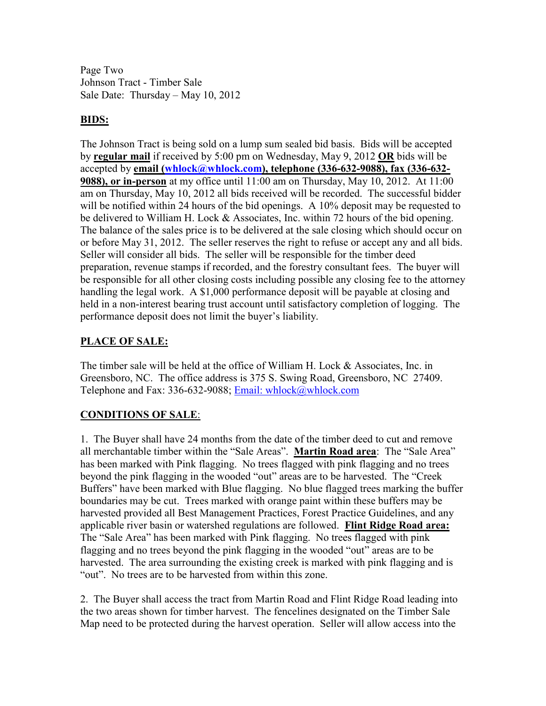Page Two Johnson Tract - Timber Sale Sale Date: Thursday – May 10, 2012

### **BIDS:**

The Johnson Tract is being sold on a lump sum sealed bid basis. Bids will be accepted by **regular mail** if received by 5:00 pm on Wednesday, May 9, 2012 **OR** bids will be accepted by **email (whlock@whlock.com), telephone (336-632-9088), fax (336-632- 9088), or in-person** at my office until 11:00 am on Thursday, May 10, 2012. At 11:00 am on Thursday, May 10, 2012 all bids received will be recorded. The successful bidder will be notified within 24 hours of the bid openings. A 10% deposit may be requested to be delivered to William H. Lock & Associates, Inc. within 72 hours of the bid opening. The balance of the sales price is to be delivered at the sale closing which should occur on or before May 31, 2012. The seller reserves the right to refuse or accept any and all bids. Seller will consider all bids. The seller will be responsible for the timber deed preparation, revenue stamps if recorded, and the forestry consultant fees. The buyer will be responsible for all other closing costs including possible any closing fee to the attorney handling the legal work. A \$1,000 performance deposit will be payable at closing and held in a non-interest bearing trust account until satisfactory completion of logging. The performance deposit does not limit the buyer's liability.

## **PLACE OF SALE:**

The timber sale will be held at the office of William H. Lock & Associates, Inc. in Greensboro, NC. The office address is 375 S. Swing Road, Greensboro, NC 27409. Telephone and Fax: 336-632-9088; Email: whlock@whlock.com

## **CONDITIONS OF SALE**:

1. The Buyer shall have 24 months from the date of the timber deed to cut and remove all merchantable timber within the "Sale Areas". **Martin Road area**: The "Sale Area" has been marked with Pink flagging. No trees flagged with pink flagging and no trees beyond the pink flagging in the wooded "out" areas are to be harvested. The "Creek Buffers" have been marked with Blue flagging. No blue flagged trees marking the buffer boundaries may be cut. Trees marked with orange paint within these buffers may be harvested provided all Best Management Practices, Forest Practice Guidelines, and any applicable river basin or watershed regulations are followed. **Flint Ridge Road area:** The "Sale Area" has been marked with Pink flagging. No trees flagged with pink flagging and no trees beyond the pink flagging in the wooded "out" areas are to be harvested. The area surrounding the existing creek is marked with pink flagging and is "out". No trees are to be harvested from within this zone.

2. The Buyer shall access the tract from Martin Road and Flint Ridge Road leading into the two areas shown for timber harvest. The fencelines designated on the Timber Sale Map need to be protected during the harvest operation. Seller will allow access into the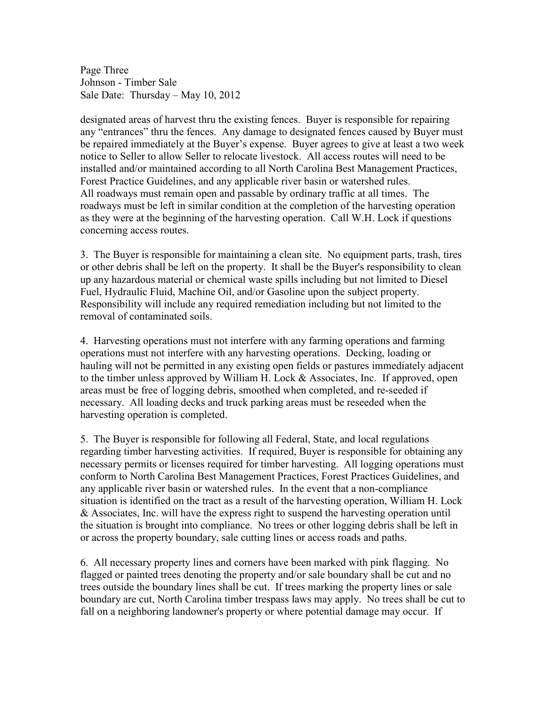Page Three Johnson - Timber Sale Sale Date: Thursday – May 10, 2012

designated areas of harvest thru the existing fences. Buyer is responsible for repairing any "entrances" thru the fences. Any damage to designated fences caused by Buyer must be repaired immediately at the Buyer's expense. Buyer agrees to give at least a two week notice to Seller to allow Seller to relocate livestock. All access routes will need to be installed and/or maintained according to all North Carolina Best Management Practices, Forest Practice Guidelines, and any applicable river basin or watershed rules. All roadways must remain open and passable by ordinary traffic at all times. The roadways must be left in similar condition at the completion of the harvesting operation as they were at the beginning of the harvesting operation. Call W.H. Lock if questions concerning access routes.

3. The Buyer is responsible for maintaining a clean site. No equipment parts, trash, tires or other debris shall be left on the property. It shall be the Buyer's responsibility to clean up any hazardous material or chemical waste spills including but not limited to Diesel Fuel, Hydraulic Fluid, Machine Oil, and/or Gasoline upon the subject property. Responsibility will include any required remediation including but not limited to the removal of contaminated soils.

4. Harvesting operations must not interfere with any farming operations and farming operations must not interfere with any harvesting operations. Decking, loading or hauling will not be permitted in any existing open fields or pastures immediately adjacent to the timber unless approved by William H. Lock & Associates, Inc. If approved, open areas must be free of logging debris, smoothed when completed, and re-seeded if necessary. All loading decks and truck parking areas must be reseeded when the harvesting operation is completed.

5. The Buyer is responsible for following all Federal, State, and local regulations regarding timber harvesting activities. If required, Buyer is responsible for obtaining any necessary permits or licenses required for timber harvesting. All logging operations must conform to North Carolina Best Management Practices, Forest Practices Guidelines, and any applicable river basin or watershed rules. In the event that a non-compliance situation is identified on the tract as a result of the harvesting operation, William H. Lock & Associates, Inc. will have the express right to suspend the harvesting operation until the situation is brought into compliance. No trees or other logging debris shall be left in or across the property boundary, sale cutting lines or access roads and paths.

6. All necessary property lines and corners have been marked with pink flagging. No flagged or painted trees denoting the property and/or sale boundary shall be cut and no trees outside the boundary lines shall be cut. If trees marking the property lines or sale boundary are cut, North Carolina timber trespass laws may apply. No trees shall be cut to fall on a neighboring landowner's property or where potential damage may occur. If